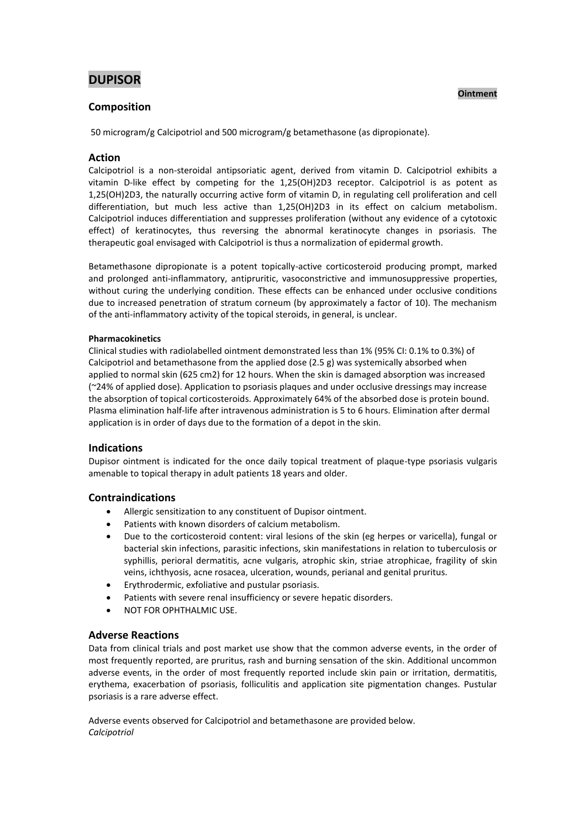# **DUPISOR**

# **Ointment**

# **Composition**

50 microgram/g Calcipotriol and 500 microgram/g betamethasone (as dipropionate).

# **Action**

Calcipotriol is a non-steroidal antipsoriatic agent, derived from vitamin D. Calcipotriol exhibits a vitamin D-like effect by competing for the 1,25(OH)2D3 receptor. Calcipotriol is as potent as 1,25(OH)2D3, the naturally occurring active form of vitamin D, in regulating cell proliferation and cell differentiation, but much less active than 1,25(OH)2D3 in its effect on calcium metabolism. Calcipotriol induces differentiation and suppresses proliferation (without any evidence of a cytotoxic effect) of keratinocytes, thus reversing the abnormal keratinocyte changes in psoriasis. The therapeutic goal envisaged with Calcipotriol is thus a normalization of epidermal growth.

Betamethasone dipropionate is a potent topically-active corticosteroid producing prompt, marked and prolonged anti-inflammatory, antipruritic, vasoconstrictive and immunosuppressive properties, without curing the underlying condition. These effects can be enhanced under occlusive conditions due to increased penetration of stratum corneum (by approximately a factor of 10). The mechanism of the anti-inflammatory activity of the topical steroids, in general, is unclear.

## **Pharmacokinetics**

Clinical studies with radiolabelled ointment demonstrated less than 1% (95% CI: 0.1% to 0.3%) of Calcipotriol and betamethasone from the applied dose (2.5 g) was systemically absorbed when applied to normal skin (625 cm2) for 12 hours. When the skin is damaged absorption was increased (~24% of applied dose). Application to psoriasis plaques and under occlusive dressings may increase the absorption of topical corticosteroids. Approximately 64% of the absorbed dose is protein bound. Plasma elimination half-life after intravenous administration is 5 to 6 hours. Elimination after dermal application is in order of days due to the formation of a depot in the skin.

# **Indications**

Dupisor ointment is indicated for the once daily topical treatment of plaque-type psoriasis vulgaris amenable to topical therapy in adult patients 18 years and older.

# **Contraindications**

- Allergic sensitization to any constituent of Dupisor ointment.
- Patients with known disorders of calcium metabolism.
- Due to the corticosteroid content: viral lesions of the skin (eg herpes or varicella), fungal or bacterial skin infections, parasitic infections, skin manifestations in relation to tuberculosis or syphillis, perioral dermatitis, acne vulgaris, atrophic skin, striae atrophicae, fragility of skin veins, ichthyosis, acne rosacea, ulceration, wounds, perianal and genital pruritus.
- Erythrodermic, exfoliative and pustular psoriasis.
- Patients with severe renal insufficiency or severe hepatic disorders.
- NOT FOR OPHTHALMIC USE.

# **Adverse Reactions**

Data from clinical trials and post market use show that the common adverse events, in the order of most frequently reported, are pruritus, rash and burning sensation of the skin. Additional uncommon adverse events, in the order of most frequently reported include skin pain or irritation, dermatitis, erythema, exacerbation of psoriasis, folliculitis and application site pigmentation changes. Pustular psoriasis is a rare adverse effect.

Adverse events observed for Calcipotriol and betamethasone are provided below. *Calcipotriol*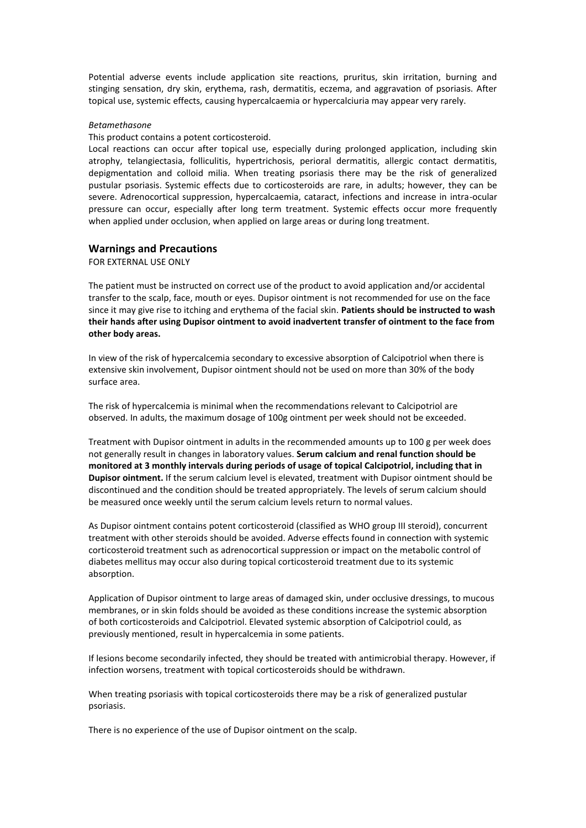Potential adverse events include application site reactions, pruritus, skin irritation, burning and stinging sensation, dry skin, erythema, rash, dermatitis, eczema, and aggravation of psoriasis. After topical use, systemic effects, causing hypercalcaemia or hypercalciuria may appear very rarely.

#### *Betamethasone*

This product contains a potent corticosteroid.

Local reactions can occur after topical use, especially during prolonged application, including skin atrophy, telangiectasia, folliculitis, hypertrichosis, perioral dermatitis, allergic contact dermatitis, depigmentation and colloid milia. When treating psoriasis there may be the risk of generalized pustular psoriasis. Systemic effects due to corticosteroids are rare, in adults; however, they can be severe. Adrenocortical suppression, hypercalcaemia, cataract, infections and increase in intra-ocular pressure can occur, especially after long term treatment. Systemic effects occur more frequently when applied under occlusion, when applied on large areas or during long treatment.

### **Warnings and Precautions**

FOR EXTERNAL USE ONLY

The patient must be instructed on correct use of the product to avoid application and/or accidental transfer to the scalp, face, mouth or eyes. Dupisor ointment is not recommended for use on the face since it may give rise to itching and erythema of the facial skin. **Patients should be instructed to wash their hands after using Dupisor ointment to avoid inadvertent transfer of ointment to the face from other body areas.** 

In view of the risk of hypercalcemia secondary to excessive absorption of Calcipotriol when there is extensive skin involvement, Dupisor ointment should not be used on more than 30% of the body surface area.

The risk of hypercalcemia is minimal when the recommendations relevant to Calcipotriol are observed. In adults, the maximum dosage of 100g ointment per week should not be exceeded.

Treatment with Dupisor ointment in adults in the recommended amounts up to 100 g per week does not generally result in changes in laboratory values. **Serum calcium and renal function should be monitored at 3 monthly intervals during periods of usage of topical Calcipotriol, including that in Dupisor ointment.** If the serum calcium level is elevated, treatment with Dupisor ointment should be discontinued and the condition should be treated appropriately. The levels of serum calcium should be measured once weekly until the serum calcium levels return to normal values.

As Dupisor ointment contains potent corticosteroid (classified as WHO group III steroid), concurrent treatment with other steroids should be avoided. Adverse effects found in connection with systemic corticosteroid treatment such as adrenocortical suppression or impact on the metabolic control of diabetes mellitus may occur also during topical corticosteroid treatment due to its systemic absorption.

Application of Dupisor ointment to large areas of damaged skin, under occlusive dressings, to mucous membranes, or in skin folds should be avoided as these conditions increase the systemic absorption of both corticosteroids and Calcipotriol. Elevated systemic absorption of Calcipotriol could, as previously mentioned, result in hypercalcemia in some patients.

If lesions become secondarily infected, they should be treated with antimicrobial therapy. However, if infection worsens, treatment with topical corticosteroids should be withdrawn.

When treating psoriasis with topical corticosteroids there may be a risk of generalized pustular psoriasis.

There is no experience of the use of Dupisor ointment on the scalp.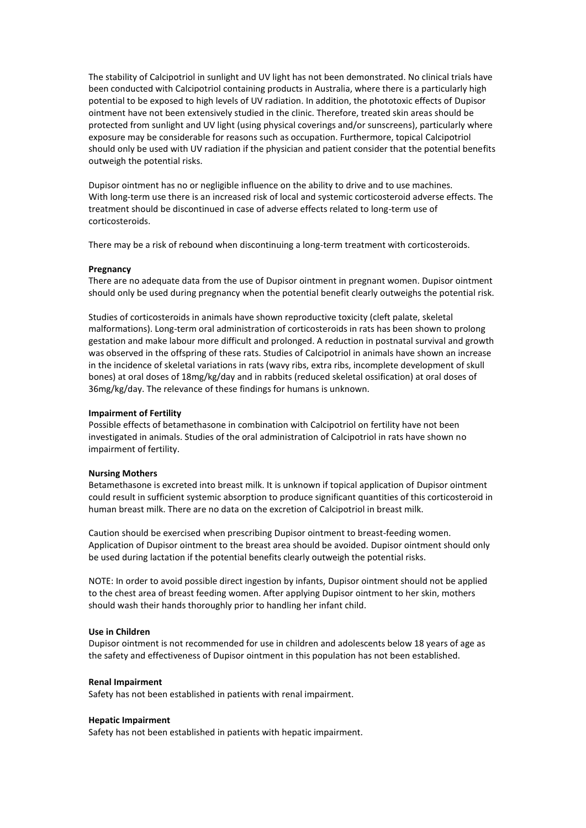The stability of Calcipotriol in sunlight and UV light has not been demonstrated. No clinical trials have been conducted with Calcipotriol containing products in Australia, where there is a particularly high potential to be exposed to high levels of UV radiation. In addition, the phototoxic effects of Dupisor ointment have not been extensively studied in the clinic. Therefore, treated skin areas should be protected from sunlight and UV light (using physical coverings and/or sunscreens), particularly where exposure may be considerable for reasons such as occupation. Furthermore, topical Calcipotriol should only be used with UV radiation if the physician and patient consider that the potential benefits outweigh the potential risks.

Dupisor ointment has no or negligible influence on the ability to drive and to use machines. With long-term use there is an increased risk of local and systemic corticosteroid adverse effects. The treatment should be discontinued in case of adverse effects related to long-term use of corticosteroids.

There may be a risk of rebound when discontinuing a long-term treatment with corticosteroids.

#### **Pregnancy**

There are no adequate data from the use of Dupisor ointment in pregnant women. Dupisor ointment should only be used during pregnancy when the potential benefit clearly outweighs the potential risk.

Studies of corticosteroids in animals have shown reproductive toxicity (cleft palate, skeletal malformations). Long-term oral administration of corticosteroids in rats has been shown to prolong gestation and make labour more difficult and prolonged. A reduction in postnatal survival and growth was observed in the offspring of these rats. Studies of Calcipotriol in animals have shown an increase in the incidence of skeletal variations in rats (wavy ribs, extra ribs, incomplete development of skull bones) at oral doses of 18mg/kg/day and in rabbits (reduced skeletal ossification) at oral doses of 36mg/kg/day. The relevance of these findings for humans is unknown.

### **Impairment of Fertility**

Possible effects of betamethasone in combination with Calcipotriol on fertility have not been investigated in animals. Studies of the oral administration of Calcipotriol in rats have shown no impairment of fertility.

#### **Nursing Mothers**

Betamethasone is excreted into breast milk. It is unknown if topical application of Dupisor ointment could result in sufficient systemic absorption to produce significant quantities of this corticosteroid in human breast milk. There are no data on the excretion of Calcipotriol in breast milk.

Caution should be exercised when prescribing Dupisor ointment to breast-feeding women. Application of Dupisor ointment to the breast area should be avoided. Dupisor ointment should only be used during lactation if the potential benefits clearly outweigh the potential risks.

NOTE: In order to avoid possible direct ingestion by infants, Dupisor ointment should not be applied to the chest area of breast feeding women. After applying Dupisor ointment to her skin, mothers should wash their hands thoroughly prior to handling her infant child.

#### **Use in Children**

Dupisor ointment is not recommended for use in children and adolescents below 18 years of age as the safety and effectiveness of Dupisor ointment in this population has not been established.

#### **Renal Impairment**

Safety has not been established in patients with renal impairment.

#### **Hepatic Impairment**

Safety has not been established in patients with hepatic impairment.